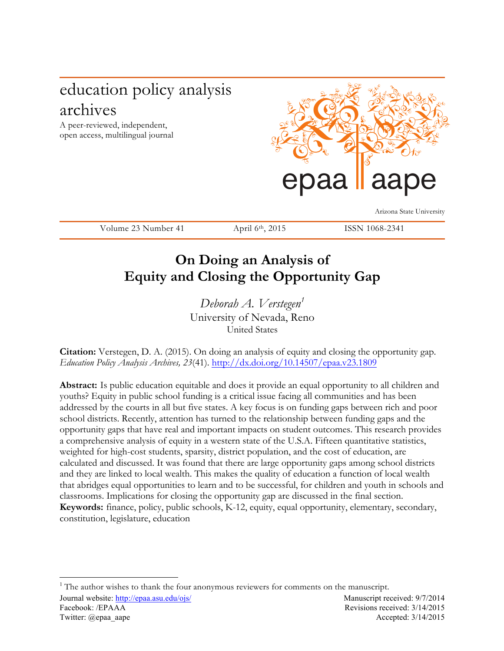# education policy analysis archives

A peer-reviewed, independent, open access, multilingual journal



Arizona State University

**On Doing an Analysis of Equity and Closing the Opportunity Gap**

Volume 23 Number 41 April 6<sup>th</sup>, 2015 ISSN 1068-2341

*Deborah A. Verstegen1* University of Nevada, Reno United States

**Citation:** Verstegen, D. A. (2015). On doing an analysis of equity and closing the opportunity gap. *Education Policy Analysis Archives, 23*(41). http://dx.doi.org/10.14507/epaa.v23.1809

**Abstract:** Is public education equitable and does it provide an equal opportunity to all children and youths? Equity in public school funding is a critical issue facing all communities and has been addressed by the courts in all but five states. A key focus is on funding gaps between rich and poor school districts. Recently, attention has turned to the relationship between funding gaps and the opportunity gaps that have real and important impacts on student outcomes. This research provides a comprehensive analysis of equity in a western state of the U.S.A. Fifteen quantitative statistics, weighted for high-cost students, sparsity, district population, and the cost of education, are calculated and discussed. It was found that there are large opportunity gaps among school districts and they are linked to local wealth. This makes the quality of education a function of local wealth that abridges equal opportunities to learn and to be successful, for children and youth in schools and classrooms. Implications for closing the opportunity gap are discussed in the final section. **Keywords:** finance, policy, public schools, K-12, equity, equal opportunity, elementary, secondary, constitution, legislature, education

Journal website: http://epaa.asu.edu/ojs/ Manuscript received: 9/7/2014 Facebook: /EPAAA Revisions received: 3/14/2015 Twitter: @epaa\_aape Accepted: 3/14/2015 <sup>1</sup> The author wishes to thank the four anonymous reviewers for comments on the manuscript.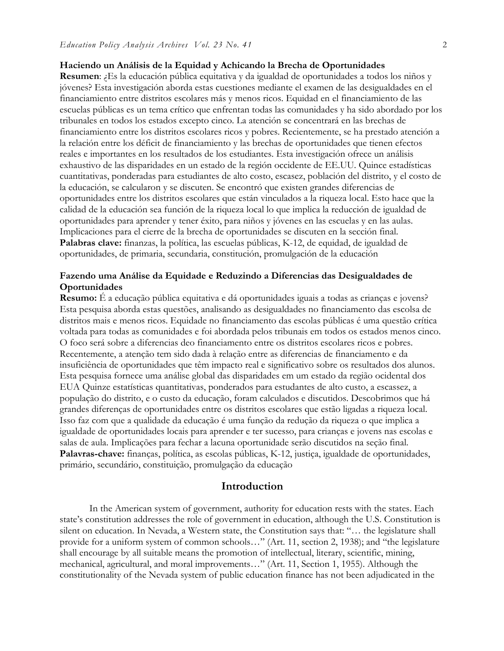## **Haciendo un Análisis de la Equidad y Achicando la Brecha de Oportunidades**

**Resumen**: ¿Es la educación pública equitativa y da igualdad de oportunidades a todos los niños y jóvenes? Esta investigación aborda estas cuestiones mediante el examen de las desigualdades en el financiamiento entre distritos escolares más y menos ricos. Equidad en el financiamiento de las escuelas públicas es un tema crítico que enfrentan todas las comunidades y ha sido abordado por los tribunales en todos los estados excepto cinco. La atención se concentrará en las brechas de financiamiento entre los distritos escolares ricos y pobres. Recientemente, se ha prestado atención a la relación entre los déficit de financiamiento y las brechas de oportunidades que tienen efectos reales e importantes en los resultados de los estudiantes. Esta investigación ofrece un análisis exhaustivo de las disparidades en un estado de la región occidente de EE.UU. Quince estadísticas cuantitativas, ponderadas para estudiantes de alto costo, escasez, población del distrito, y el costo de la educación, se calcularon y se discuten. Se encontró que existen grandes diferencias de oportunidades entre los distritos escolares que están vinculados a la riqueza local. Esto hace que la calidad de la educación sea función de la riqueza local lo que implica la reducción de igualdad de oportunidades para aprender y tener éxito, para niños y jóvenes en las escuelas y en las aulas. Implicaciones para el cierre de la brecha de oportunidades se discuten en la sección final. **Palabras clave:** finanzas, la política, las escuelas públicas, K-12, de equidad, de igualdad de oportunidades, de primaria, secundaria, constitución, promulgación de la educación

## **Fazendo uma Análise da Equidade e Reduzindo a Diferencias das Desigualdades de Oportunidades**

**Resumo:** É a educação pública equitativa e dá oportunidades iguais a todas as crianças e jovens? Esta pesquisa aborda estas questões, analisando as desigualdades no financiamento das escolsa de distritos mais e menos ricos. Equidade no financiamento das escolas públicas é uma questão crítica voltada para todas as comunidades e foi abordada pelos tribunais em todos os estados menos cinco. O foco será sobre a diferencias deo financiamento entre os distritos escolares ricos e pobres. Recentemente, a atenção tem sido dada à relação entre as diferencias de financiamento e da insuficiência de oportunidades que têm impacto real e significativo sobre os resultados dos alunos. Esta pesquisa fornece uma análise global das disparidades em um estado da região ocidental dos EUA Quinze estatísticas quantitativas, ponderados para estudantes de alto custo, a escassez, a população do distrito, e o custo da educação, foram calculados e discutidos. Descobrimos que há grandes diferenças de oportunidades entre os distritos escolares que estão ligadas a riqueza local. Isso faz com que a qualidade da educação é uma função da redução da riqueza o que implica a igualdade de oportunidades locais para aprender e ter sucesso, para crianças e jovens nas escolas e salas de aula. Implicações para fechar a lacuna oportunidade serão discutidos na seção final. **Palavras-chave:** finanças, política, as escolas públicas, K-12, justiça, igualdade de oportunidades, primário, secundário, constituição, promulgação da educação

### **Introduction**

In the American system of government, authority for education rests with the states. Each state's constitution addresses the role of government in education, although the U.S. Constitution is silent on education. In Nevada, a Western state, the Constitution says that: "… the legislature shall provide for a uniform system of common schools…" (Art. 11, section 2, 1938); and "the legislature shall encourage by all suitable means the promotion of intellectual, literary, scientific, mining, mechanical, agricultural, and moral improvements…" (Art. 11, Section 1, 1955). Although the constitutionality of the Nevada system of public education finance has not been adjudicated in the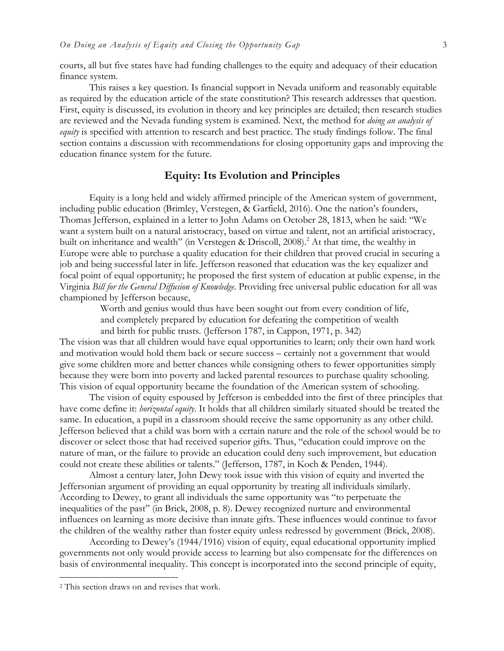courts, all but five states have had funding challenges to the equity and adequacy of their education finance system.

This raises a key question. Is financial support in Nevada uniform and reasonably equitable as required by the education article of the state constitution? This research addresses that question. First, equity is discussed, its evolution in theory and key principles are detailed; then research studies are reviewed and the Nevada funding system is examined. Next, the method for *doing an analysis of equity* is specified with attention to research and best practice. The study findings follow. The final section contains a discussion with recommendations for closing opportunity gaps and improving the education finance system for the future.

## **Equity: Its Evolution and Principles**

Equity is a long held and widely affirmed principle of the American system of government, including public education (Brimley, Verstegen, & Garfield, 2016). One the nation's founders, Thomas Jefferson, explained in a letter to John Adams on October 28, 1813, when he said: "We want a system built on a natural aristocracy, based on virtue and talent, not an artificial aristocracy, built on inheritance and wealth" (in Verstegen & Driscoll, 2008).<sup>2</sup> At that time, the wealthy in Europe were able to purchase a quality education for their children that proved crucial in securing a job and being successful later in life. Jefferson reasoned that education was the key equalizer and focal point of equal opportunity; he proposed the first system of education at public expense, in the Virginia *Bill for the General Diffusion of Knowledge*. Providing free universal public education for all was championed by Jefferson because,

> Worth and genius would thus have been sought out from every condition of life, and completely prepared by education for defeating the competition of wealth and birth for public trusts. (Jefferson 1787, in Cappon, 1971, p. 342)

The vision was that all children would have equal opportunities to learn; only their own hard work and motivation would hold them back or secure success – certainly not a government that would give some children more and better chances while consigning others to fewer opportunities simply because they were born into poverty and lacked parental resources to purchase quality schooling. This vision of equal opportunity became the foundation of the American system of schooling.

The vision of equity espoused by Jefferson is embedded into the first of three principles that have come define it: *horizontal equity*. It holds that all children similarly situated should be treated the same. In education, a pupil in a classroom should receive the same opportunity as any other child. Jefferson believed that a child was born with a certain nature and the role of the school would be to discover or select those that had received superior gifts. Thus, "education could improve on the nature of man, or the failure to provide an education could deny such improvement, but education could not create these abilities or talents." (Jefferson, 1787, in Koch & Penden, 1944).

Almost a century later, John Dewy took issue with this vision of equity and inverted the Jeffersonian argument of providing an equal opportunity by treating all individuals similarly. According to Dewey, to grant all individuals the same opportunity was "to perpetuate the inequalities of the past" (in Brick, 2008, p. 8). Dewey recognized nurture and environmental influences on learning as more decisive than innate gifts. These influences would continue to favor the children of the wealthy rather than foster equity unless redressed by government (Brick, 2008).

According to Dewey's (1944/1916) vision of equity, equal educational opportunity implied governments not only would provide access to learning but also compensate for the differences on basis of environmental inequality. This concept is incorporated into the second principle of equity,

 $\overline{a}$ 

<sup>2</sup> This section draws on and revises that work.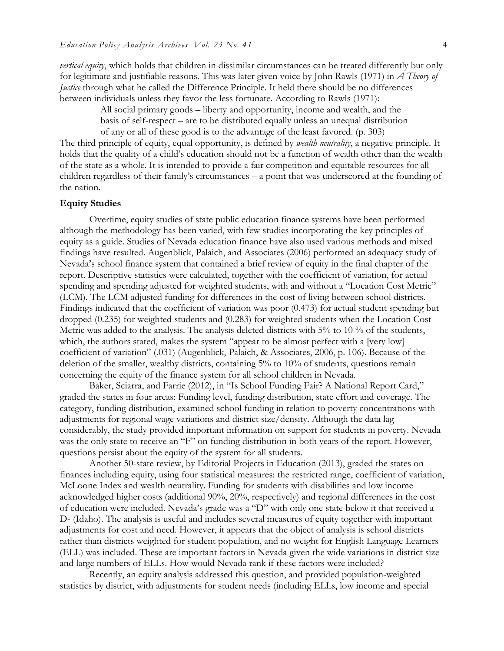*vertical equity*, which holds that children in dissimilar circumstances can be treated differently but only for legitimate and justifiable reasons. This was later given voice by John Rawls (1971) in *A Theory of Justice* through what he called the Difference Principle. It held there should be no differences between individuals unless they favor the less fortunate. According to Rawls (1971):

> All social primary goods – liberty and opportunity, income and wealth, and the basis of self-respect – are to be distributed equally unless an unequal distribution of any or all of these good is to the advantage of the least favored. (p. 303)

The third principle of equity, equal opportunity, is defined by *wealth neutrality*, a negative principle. It holds that the quality of a child's education should not be a function of wealth other than the wealth of the state as a whole. It is intended to provide a fair competition and equitable resources for all children regardless of their family's circumstances – a point that was underscored at the founding of the nation.

#### **Equity Studies**

Overtime, equity studies of state public education finance systems have been performed although the methodology has been varied, with few studies incorporating the key principles of equity as a guide. Studies of Nevada education finance have also used various methods and mixed findings have resulted. Augenblick, Palaich, and Associates (2006) performed an adequacy study of Nevada's school finance system that contained a brief review of equity in the final chapter of the report. Descriptive statistics were calculated, together with the coefficient of variation, for actual spending and spending adjusted for weighted students, with and without a "Location Cost Metric" (LCM). The LCM adjusted funding for differences in the cost of living between school districts. Findings indicated that the coefficient of variation was poor (0.473) for actual student spending but dropped (0.235) for weighted students and (0.283) for weighted students when the Location Cost Metric was added to the analysis. The analysis deleted districts with 5% to 10% of the students, which, the authors stated, makes the system "appear to be almost perfect with a [very low] coefficient of variation" (.031) (Augenblick, Palaich, & Associates, 2006, p. 106). Because of the deletion of the smaller, wealthy districts, containing 5% to 10% of students, questions remain concerning the equity of the finance system for all school children in Nevada.

Baker, Sciarra, and Farrie (2012), in "Is School Funding Fair? A National Report Card," graded the states in four areas: Funding level, funding distribution, state effort and coverage. The category, funding distribution, examined school funding in relation to poverty concentrations with adjustments for regional wage variations and district size/density. Although the data lag considerably, the study provided important information on support for students in poverty. Nevada was the only state to receive an "F" on funding distribution in both years of the report. However, questions persist about the equity of the system for all students.

Another 50-state review, by Editorial Projects in Education (2013), graded the states on finances including equity, using four statistical measures: the restricted range, coefficient of variation, McLoone Index and wealth neutrality. Funding for students with disabilities and low income acknowledged higher costs (additional 90%, 20%, respectively) and regional differences in the cost of education were included. Nevada's grade was a "D" with only one state below it that received a D- (Idaho). The analysis is useful and includes several measures of equity together with important adjustments for cost and need. However, it appears that the object of analysis is school districts rather than districts weighted for student population, and no weight for English Language Learners (ELL) was included. These are important factors in Nevada given the wide variations in district size and large numbers of ELLs. How would Nevada rank if these factors were included?

Recently, an equity analysis addressed this question, and provided population-weighted statistics by district, with adjustments for student needs (including ELLs, low income and special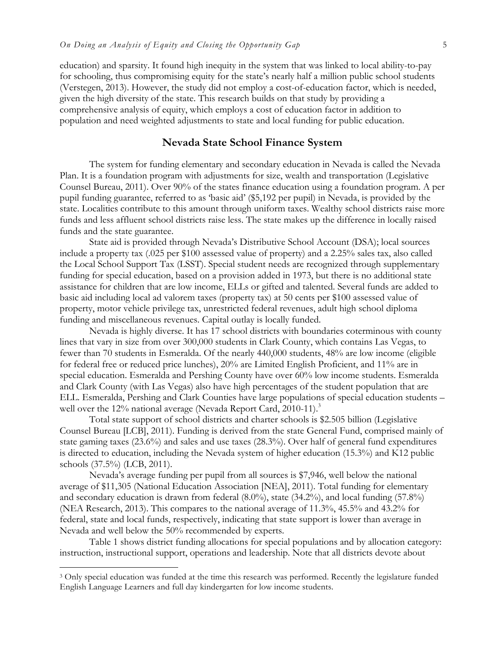education) and sparsity. It found high inequity in the system that was linked to local ability-to-pay for schooling, thus compromising equity for the state's nearly half a million public school students (Verstegen, 2013). However, the study did not employ a cost-of-education factor, which is needed, given the high diversity of the state. This research builds on that study by providing a comprehensive analysis of equity, which employs a cost of education factor in addition to population and need weighted adjustments to state and local funding for public education.

## **Nevada State School Finance System**

The system for funding elementary and secondary education in Nevada is called the Nevada Plan. It is a foundation program with adjustments for size, wealth and transportation (Legislative Counsel Bureau, 2011). Over 90% of the states finance education using a foundation program. A per pupil funding guarantee, referred to as 'basic aid' (\$5,192 per pupil) in Nevada, is provided by the state. Localities contribute to this amount through uniform taxes. Wealthy school districts raise more funds and less affluent school districts raise less. The state makes up the difference in locally raised funds and the state guarantee.

State aid is provided through Nevada's Distributive School Account (DSA); local sources include a property tax (.025 per \$100 assessed value of property) and a 2.25% sales tax, also called the Local School Support Tax (LSST). Special student needs are recognized through supplementary funding for special education, based on a provision added in 1973, but there is no additional state assistance for children that are low income, ELLs or gifted and talented. Several funds are added to basic aid including local ad valorem taxes (property tax) at 50 cents per \$100 assessed value of property, motor vehicle privilege tax, unrestricted federal revenues, adult high school diploma funding and miscellaneous revenues. Capital outlay is locally funded.

Nevada is highly diverse. It has 17 school districts with boundaries coterminous with county lines that vary in size from over 300,000 students in Clark County, which contains Las Vegas, to fewer than 70 students in Esmeralda. Of the nearly 440,000 students, 48% are low income (eligible for federal free or reduced price lunches), 20% are Limited English Proficient, and 11% are in special education. Esmeralda and Pershing County have over 60% low income students. Esmeralda and Clark County (with Las Vegas) also have high percentages of the student population that are ELL. Esmeralda, Pershing and Clark Counties have large populations of special education students – well over the 12% national average (Nevada Report Card, 2010-11).<sup>3</sup>

Total state support of school districts and charter schools is \$2.505 billion (Legislative Counsel Bureau [LCB], 2011). Funding is derived from the state General Fund, comprised mainly of state gaming taxes (23.6%) and sales and use taxes (28.3%). Over half of general fund expenditures is directed to education, including the Nevada system of higher education (15.3%) and K12 public schools (37.5%) (LCB, 2011).

Nevada's average funding per pupil from all sources is \$7,946, well below the national average of \$11,305 (National Education Association [NEA], 2011). Total funding for elementary and secondary education is drawn from federal (8.0%), state (34.2%), and local funding (57.8%) (NEA Research, 2013). This compares to the national average of 11.3%, 45.5% and 43.2% for federal, state and local funds, respectively, indicating that state support is lower than average in Nevada and well below the 50% recommended by experts.

Table 1 shows district funding allocations for special populations and by allocation category: instruction, instructional support, operations and leadership. Note that all districts devote about

 $\overline{a}$ 

<sup>3</sup> Only special education was funded at the time this research was performed. Recently the legislature funded English Language Learners and full day kindergarten for low income students.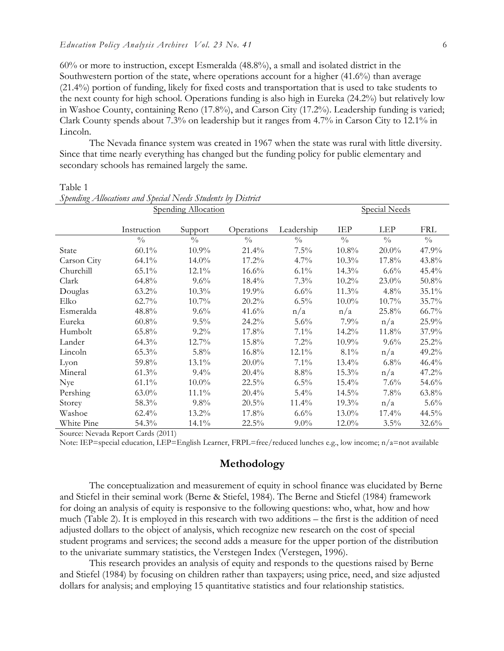60% or more to instruction, except Esmeralda (48.8%), a small and isolated district in the Southwestern portion of the state, where operations account for a higher (41.6%) than average (21.4%) portion of funding, likely for fixed costs and transportation that is used to take students to the next county for high school. Operations funding is also high in Eureka (24.2%) but relatively low in Washoe County, containing Reno (17.8%), and Carson City (17.2%). Leadership funding is varied; Clark County spends about 7.3% on leadership but it ranges from 4.7% in Carson City to 12.1% in Lincoln.

The Nevada finance system was created in 1967 when the state was rural with little diversity. Since that time nearly everything has changed but the funding policy for public elementary and secondary schools has remained largely the same.

|             | <b>Spending Allocation</b> |               |               | <b>Special Needs</b> |               |               |               |
|-------------|----------------------------|---------------|---------------|----------------------|---------------|---------------|---------------|
|             | Instruction                | Support       | Operations    | Leadership           | IEP           | LEP           | <b>FRL</b>    |
|             | $\frac{0}{0}$              | $\frac{0}{0}$ | $\frac{0}{0}$ | $\frac{0}{0}$        | $\frac{0}{0}$ | $\frac{0}{0}$ | $\frac{0}{0}$ |
| State       | $60.1\%$                   | $10.9\%$      | $21.4\%$      | $7.5\%$              | $10.8\%$      | $20.0\%$      | 47.9%         |
| Carson City | $64.1\%$                   | $14.0\%$      | $17.2\%$      | $4.7\%$              | $10.3\%$      | 17.8%         | 43.8%         |
| Churchill   | $65.1\%$                   | $12.1\%$      | $16.6\%$      | $6.1\%$              | $14.3\%$      | $6.6\%$       | 45.4%         |
| Clark       | $64.8\%$                   | $9.6\%$       | $18.4\%$      | $7.3\%$              | $10.2\%$      | $23.0\%$      | $50.8\%$      |
| Douglas     | $63.2\%$                   | $10.3\%$      | 19.9%         | $6.6\%$              | $11.3\%$      | $4.8\%$       | 35.1%         |
| Elko        | $62.7\%$                   | $10.7\%$      | $20.2\%$      | $6.5\%$              | $10.0\%$      | $10.7\%$      | 35.7%         |
| Esmeralda   | 48.8%                      | 9.6%          | 41.6%         | n/a                  | n/a           | 25.8%         | 66.7%         |
| Eureka      | $60.8\%$                   | $9.5\%$       | $24.2\%$      | $5.6\%$              | $7.9\%$       | n/a           | 25.9%         |
| Humbolt     | $65.8\%$                   | $9.2\%$       | 17.8%         | $7.1\%$              | 14.2%         | $11.8\%$      | 37.9%         |
| Lander      | $64.3\%$                   | $12.7\%$      | $15.8\%$      | $7.2\%$              | $10.9\%$      | $9.6\%$       | $25.2\%$      |
| Lincoln     | $65.3\%$                   | $5.8\%$       | 16.8%         | 12.1%                | $8.1\%$       | n/a           | $49.2\%$      |
| Lyon        | 59.8%                      | $13.1\%$      | $20.0\%$      | $7.1\%$              | $13.4\%$      | $6.8\%$       | $46.4\%$      |
| Mineral     | $61.3\%$                   | $9.4\%$       | $20.4\%$      | $8.8\%$              | $15.3\%$      | n/a           | 47.2%         |
| <b>Nye</b>  | $61.1\%$                   | $10.0\%$      | 22.5%         | $6.5\%$              | 15.4%         | $7.6\%$       | 54.6%         |
| Pershing    | $63.0\%$                   | $11.1\%$      | $20.4\%$      | $5.4\%$              | $14.5\%$      | $7.8\%$       | 63.8%         |
| Storey      | 58.3%                      | $9.8\%$       | $20.5\%$      | $11.4\%$             | 19.3%         | n/a           | $5.6\%$       |
| Washoe      | $62.4\%$                   | $13.2\%$      | $17.8\%$      | $6.6\%$              | $13.0\%$      | $17.4\%$      | 44.5%         |
| White Pine  | 54.3%                      | 14.1%         | 22.5%         | $9.0\%$              | 12.0%         | $3.5\%$       | 32.6%         |

| abie |  |
|------|--|
|      |  |

*Spending Allocations and Special Needs Students by District*

Source: Nevada Report Cards (2011)

Note: IEP=special education, LEP=English Learner, FRPL=free/reduced lunches e.g., low income; n/a=not available

## **Methodology**

The conceptualization and measurement of equity in school finance was elucidated by Berne and Stiefel in their seminal work (Berne & Stiefel, 1984). The Berne and Stiefel (1984) framework for doing an analysis of equity is responsive to the following questions: who, what, how and how much (Table 2). It is employed in this research with two additions – the first is the addition of need adjusted dollars to the object of analysis, which recognize new research on the cost of special student programs and services; the second adds a measure for the upper portion of the distribution to the univariate summary statistics, the Verstegen Index (Verstegen, 1996).

This research provides an analysis of equity and responds to the questions raised by Berne and Stiefel (1984) by focusing on children rather than taxpayers; using price, need, and size adjusted dollars for analysis; and employing 15 quantitative statistics and four relationship statistics.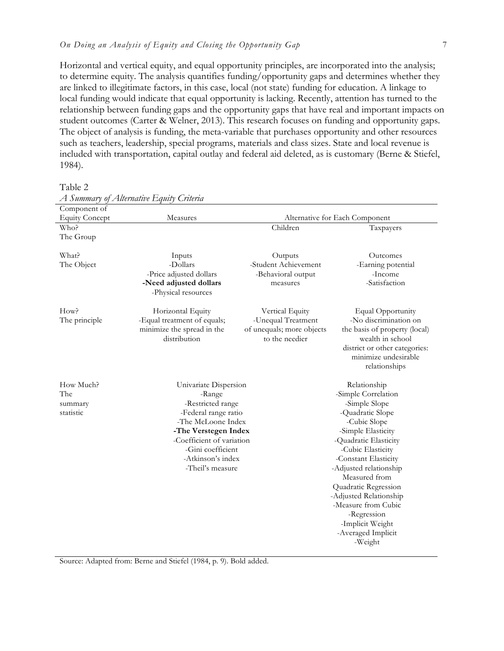Horizontal and vertical equity, and equal opportunity principles, are incorporated into the analysis; to determine equity. The analysis quantifies funding/opportunity gaps and determines whether they are linked to illegitimate factors, in this case, local (not state) funding for education. A linkage to local funding would indicate that equal opportunity is lacking. Recently, attention has turned to the relationship between funding gaps and the opportunity gaps that have real and important impacts on student outcomes (Carter & Welner, 2013). This research focuses on funding and opportunity gaps. The object of analysis is funding, the meta-variable that purchases opportunity and other resources such as teachers, leadership, special programs, materials and class sizes. State and local revenue is included with transportation, capital outlay and federal aid deleted, as is customary (Berne & Stiefel, 1984).

Table 2

|                       | A Summary of Alternative Equity Criteria          |                                |                                    |  |
|-----------------------|---------------------------------------------------|--------------------------------|------------------------------------|--|
| Component of          |                                                   |                                |                                    |  |
| <b>Equity Concept</b> | Measures                                          | Alternative for Each Component |                                    |  |
| Who?                  |                                                   | Children                       | Taxpayers                          |  |
| The Group             |                                                   |                                |                                    |  |
| What?                 |                                                   |                                |                                    |  |
|                       | Inputs<br>-Dollars                                | Outputs                        | Outcomes                           |  |
| The Object            |                                                   | -Student Achievement           | -Earning potential<br>-Income      |  |
|                       | -Price adjusted dollars<br>-Need adjusted dollars | -Behavioral output<br>measures | -Satisfaction                      |  |
|                       | -Physical resources                               |                                |                                    |  |
|                       |                                                   |                                |                                    |  |
| How?                  | Horizontal Equity                                 | Vertical Equity                | <b>Equal Opportunity</b>           |  |
| The principle         | -Equal treatment of equals;                       | -Unequal Treatment             | -No discrimination on              |  |
|                       | minimize the spread in the                        | of unequals; more objects      | the basis of property (local)      |  |
|                       | distribution                                      | to the needier                 | wealth in school                   |  |
|                       |                                                   |                                | district or other categories:      |  |
|                       |                                                   |                                | minimize undesirable               |  |
|                       |                                                   |                                | relationships                      |  |
|                       |                                                   |                                |                                    |  |
| How Much?             | Univariate Dispersion                             |                                | Relationship                       |  |
| The                   | -Range                                            |                                | -Simple Correlation                |  |
| summary               | -Restricted range                                 |                                | -Simple Slope                      |  |
| statistic             | -Federal range ratio<br>-The McLoone Index        |                                | -Quadratic Slope                   |  |
|                       | -The Verstegen Index                              |                                | -Cubic Slope<br>-Simple Elasticity |  |
|                       | -Coefficient of variation                         |                                | -Quadratic Elasticity              |  |
|                       | -Gini coefficient                                 |                                | -Cubic Elasticity                  |  |
|                       | -Atkinson's index                                 |                                | -Constant Elasticity               |  |
|                       | -Theil's measure                                  |                                | -Adjusted relationship             |  |
|                       |                                                   |                                | Measured from                      |  |
|                       |                                                   |                                | Quadratic Regression               |  |
|                       |                                                   |                                | -Adjusted Relationship             |  |
|                       |                                                   |                                | -Measure from Cubic                |  |
|                       |                                                   |                                | -Regression                        |  |
|                       |                                                   |                                | -Implicit Weight                   |  |
|                       |                                                   |                                | -Averaged Implicit                 |  |
|                       |                                                   |                                | -Weight                            |  |
|                       |                                                   |                                |                                    |  |

Source: Adapted from: Berne and Stiefel (1984, p. 9). Bold added.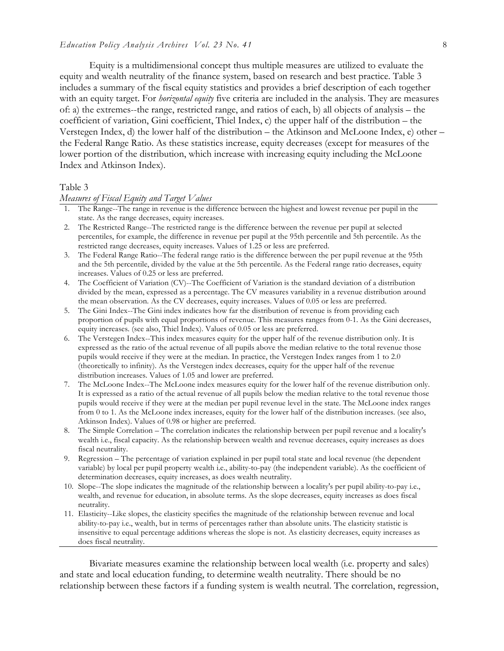Equity is a multidimensional concept thus multiple measures are utilized to evaluate the equity and wealth neutrality of the finance system, based on research and best practice. Table 3 includes a summary of the fiscal equity statistics and provides a brief description of each together with an equity target. For *horizontal equity* five criteria are included in the analysis. They are measures of: a) the extremes--the range, restricted range, and ratios of each, b) all objects of analysis – the coefficient of variation, Gini coefficient, Thiel Index, c) the upper half of the distribution – the Verstegen Index, d) the lower half of the distribution – the Atkinson and McLoone Index, e) other – the Federal Range Ratio. As these statistics increase, equity decreases (except for measures of the lower portion of the distribution, which increase with increasing equity including the McLoone Index and Atkinson Index).

#### Table 3

#### *Measures of Fiscal Equity and Target Values*

- 1. The Range--The range in revenue is the difference between the highest and lowest revenue per pupil in the state. As the range decreases, equity increases.
- 2. The Restricted Range--The restricted range is the difference between the revenue per pupil at selected percentiles, for example, the difference in revenue per pupil at the 95th percentile and 5th percentile. As the restricted range decreases, equity increases. Values of 1.25 or less are preferred.
- 3. The Federal Range Ratio--The federal range ratio is the difference between the per pupil revenue at the 95th and the 5th percentile, divided by the value at the 5th percentile. As the Federal range ratio decreases, equity increases. Values of 0.25 or less are preferred.
- 4. The Coefficient of Variation (CV)--The Coefficient of Variation is the standard deviation of a distribution divided by the mean, expressed as a percentage. The CV measures variability in a revenue distribution around the mean observation. As the CV decreases, equity increases. Values of 0.05 or less are preferred.
- 5. The Gini Index--The Gini index indicates how far the distribution of revenue is from providing each proportion of pupils with equal proportions of revenue. This measures ranges from 0-1. As the Gini decreases, equity increases. (see also, Thiel Index). Values of 0.05 or less are preferred.
- 6. The Verstegen Index--This index measures equity for the upper half of the revenue distribution only. It is expressed as the ratio of the actual revenue of all pupils above the median relative to the total revenue those pupils would receive if they were at the median. In practice, the Verstegen Index ranges from 1 to 2.0 (theoretically to infinity). As the Verstegen index decreases, equity for the upper half of the revenue distribution increases. Values of 1.05 and lower are preferred.
- 7. The McLoone Index--The McLoone index measures equity for the lower half of the revenue distribution only. It is expressed as a ratio of the actual revenue of all pupils below the median relative to the total revenue those pupils would receive if they were at the median per pupil revenue level in the state. The McLoone index ranges from 0 to 1. As the McLoone index increases, equity for the lower half of the distribution increases. (see also, Atkinson Index). Values of 0.98 or higher are preferred.
- 8. The Simple Correlation The correlation indicates the relationship between per pupil revenue and a locality's wealth i.e., fiscal capacity. As the relationship between wealth and revenue decreases, equity increases as does fiscal neutrality.
- 9. Regression The percentage of variation explained in per pupil total state and local revenue (the dependent variable) by local per pupil property wealth i.e., ability-to-pay (the independent variable). As the coefficient of determination decreases, equity increases, as does wealth neutrality.
- 10. Slope--The slope indicates the magnitude of the relationship between a locality's per pupil ability-to-pay i.e., wealth, and revenue for education, in absolute terms. As the slope decreases, equity increases as does fiscal neutrality.
- 11. Elasticity--Like slopes, the elasticity specifies the magnitude of the relationship between revenue and local ability-to-pay i.e., wealth, but in terms of percentages rather than absolute units. The elasticity statistic is insensitive to equal percentage additions whereas the slope is not. As elasticity decreases, equity increases as does fiscal neutrality.

Bivariate measures examine the relationship between local wealth (i.e. property and sales) and state and local education funding, to determine wealth neutrality. There should be no relationship between these factors if a funding system is wealth neutral. The correlation, regression,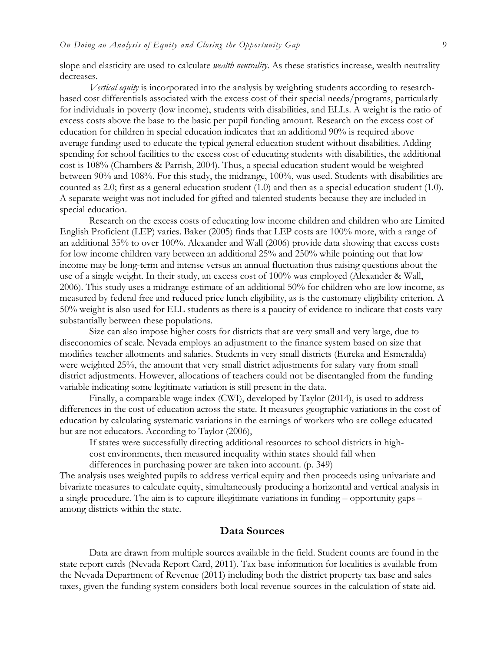slope and elasticity are used to calculate *wealth neutrality*. As these statistics increase, wealth neutrality decreases.

*Vertical equity* is incorporated into the analysis by weighting students according to researchbased cost differentials associated with the excess cost of their special needs/programs, particularly for individuals in poverty (low income), students with disabilities, and ELLs. A weight is the ratio of excess costs above the base to the basic per pupil funding amount. Research on the excess cost of education for children in special education indicates that an additional 90% is required above average funding used to educate the typical general education student without disabilities. Adding spending for school facilities to the excess cost of educating students with disabilities, the additional cost is 108% (Chambers & Parrish, 2004). Thus, a special education student would be weighted between 90% and 108%. For this study, the midrange, 100%, was used. Students with disabilities are counted as 2.0; first as a general education student (1.0) and then as a special education student (1.0). A separate weight was not included for gifted and talented students because they are included in special education.

Research on the excess costs of educating low income children and children who are Limited English Proficient (LEP) varies. Baker (2005) finds that LEP costs are 100% more, with a range of an additional 35% to over 100%. Alexander and Wall (2006) provide data showing that excess costs for low income children vary between an additional 25% and 250% while pointing out that low income may be long-term and intense versus an annual fluctuation thus raising questions about the use of a single weight. In their study, an excess cost of 100% was employed (Alexander & Wall, 2006). This study uses a midrange estimate of an additional 50% for children who are low income, as measured by federal free and reduced price lunch eligibility, as is the customary eligibility criterion. A 50% weight is also used for ELL students as there is a paucity of evidence to indicate that costs vary substantially between these populations.

Size can also impose higher costs for districts that are very small and very large, due to diseconomies of scale. Nevada employs an adjustment to the finance system based on size that modifies teacher allotments and salaries. Students in very small districts (Eureka and Esmeralda) were weighted 25%, the amount that very small district adjustments for salary vary from small district adjustments. However, allocations of teachers could not be disentangled from the funding variable indicating some legitimate variation is still present in the data.

Finally, a comparable wage index (CWI), developed by Taylor (2014), is used to address differences in the cost of education across the state. It measures geographic variations in the cost of education by calculating systematic variations in the earnings of workers who are college educated but are not educators. According to Taylor (2006),

If states were successfully directing additional resources to school districts in high-

cost environments, then measured inequality within states should fall when

differences in purchasing power are taken into account. (p. 349)

The analysis uses weighted pupils to address vertical equity and then proceeds using univariate and bivariate measures to calculate equity, simultaneously producing a horizontal and vertical analysis in a single procedure. The aim is to capture illegitimate variations in funding – opportunity gaps – among districts within the state.

## **Data Sources**

Data are drawn from multiple sources available in the field. Student counts are found in the state report cards (Nevada Report Card, 2011). Tax base information for localities is available from the Nevada Department of Revenue (2011) including both the district property tax base and sales taxes, given the funding system considers both local revenue sources in the calculation of state aid.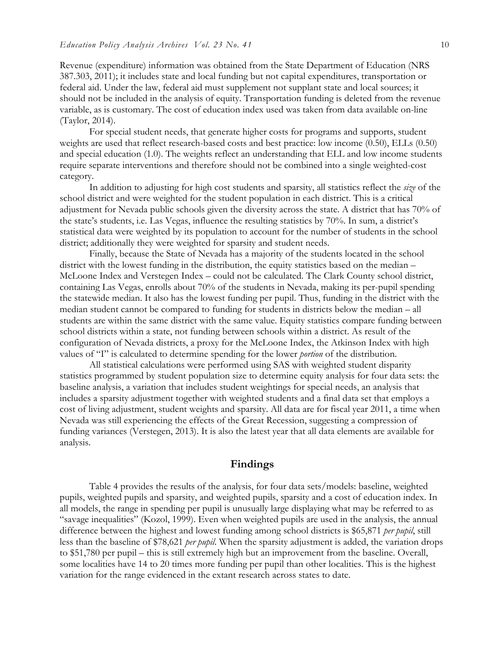Revenue (expenditure) information was obtained from the State Department of Education (NRS 387.303, 2011); it includes state and local funding but not capital expenditures, transportation or federal aid. Under the law, federal aid must supplement not supplant state and local sources; it should not be included in the analysis of equity. Transportation funding is deleted from the revenue variable, as is customary. The cost of education index used was taken from data available on-line (Taylor, 2014).

For special student needs, that generate higher costs for programs and supports, student weights are used that reflect research-based costs and best practice: low income (0.50), ELLs (0.50) and special education (1.0). The weights reflect an understanding that ELL and low income students require separate interventions and therefore should not be combined into a single weighted-cost category.

In addition to adjusting for high cost students and sparsity, all statistics reflect the *size* of the school district and were weighted for the student population in each district. This is a critical adjustment for Nevada public schools given the diversity across the state. A district that has 70% of the state's students, i.e. Las Vegas, influence the resulting statistics by 70%. In sum, a district's statistical data were weighted by its population to account for the number of students in the school district; additionally they were weighted for sparsity and student needs.

Finally, because the State of Nevada has a majority of the students located in the school district with the lowest funding in the distribution, the equity statistics based on the median – McLoone Index and Verstegen Index – could not be calculated. The Clark County school district, containing Las Vegas, enrolls about 70% of the students in Nevada, making its per-pupil spending the statewide median. It also has the lowest funding per pupil. Thus, funding in the district with the median student cannot be compared to funding for students in districts below the median – all students are within the same district with the same value. Equity statistics compare funding between school districts within a state, not funding between schools within a district. As result of the configuration of Nevada districts, a proxy for the McLoone Index, the Atkinson Index with high values of "I" is calculated to determine spending for the lower *portion* of the distribution.

All statistical calculations were performed using SAS with weighted student disparity statistics programmed by student population size to determine equity analysis for four data sets: the baseline analysis, a variation that includes student weightings for special needs, an analysis that includes a sparsity adjustment together with weighted students and a final data set that employs a cost of living adjustment, student weights and sparsity. All data are for fiscal year 2011, a time when Nevada was still experiencing the effects of the Great Recession, suggesting a compression of funding variances (Verstegen, 2013). It is also the latest year that all data elements are available for analysis.

## **Findings**

Table 4 provides the results of the analysis, for four data sets/models: baseline, weighted pupils, weighted pupils and sparsity, and weighted pupils, sparsity and a cost of education index. In all models, the range in spending per pupil is unusually large displaying what may be referred to as "savage inequalities" (Kozol, 1999). Even when weighted pupils are used in the analysis, the annual difference between the highest and lowest funding among school districts is \$65,871 *per pupil*, still less than the baseline of \$78,621 *per pupil*. When the sparsity adjustment is added, the variation drops to \$51,780 per pupil – this is still extremely high but an improvement from the baseline. Overall, some localities have 14 to 20 times more funding per pupil than other localities. This is the highest variation for the range evidenced in the extant research across states to date.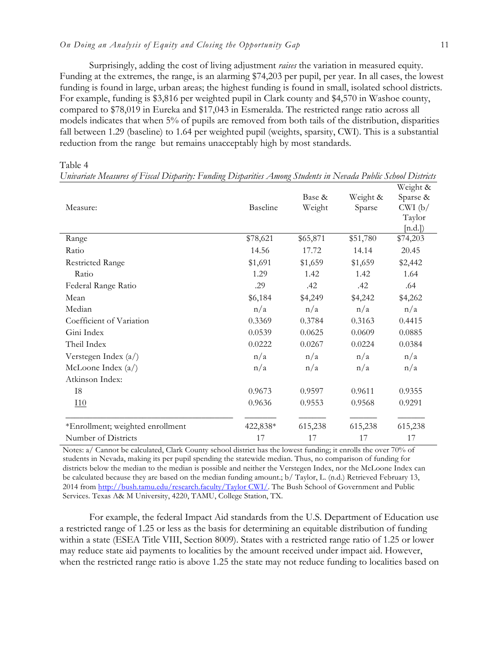Surprisingly, adding the cost of living adjustment *raises* the variation in measured equity. Funding at the extremes, the range, is an alarming \$74,203 per pupil, per year. In all cases, the lowest funding is found in large, urban areas; the highest funding is found in small, isolated school districts. For example, funding is \$3,816 per weighted pupil in Clark county and \$4,570 in Washoe county, compared to \$78,019 in Eureka and \$17,043 in Esmeralda. The restricted range ratio across all models indicates that when 5% of pupils are removed from both tails of the distribution, disparities fall between 1.29 (baseline) to 1.64 per weighted pupil (weights, sparsity, CWI). This is a substantial reduction from the range but remains unacceptably high by most standards.

| Measure:                         | Baseline | Base &<br>Weight | Weight &<br>Sparse | Weight &<br>Sparse &<br>$CWI$ ( $b/$<br>Taylor<br>[n.d.] |
|----------------------------------|----------|------------------|--------------------|----------------------------------------------------------|
| Range                            | \$78,621 | \$65,871         | \$51,780           | \$74,203                                                 |
| Ratio                            | 14.56    | 17.72            | 14.14              | 20.45                                                    |
| <b>Restricted Range</b>          | \$1,691  | \$1,659          | \$1,659            | \$2,442                                                  |
| Ratio                            | 1.29     | 1.42             | 1.42               | 1.64                                                     |
| Federal Range Ratio              | .29      | .42              | .42                | .64                                                      |
| Mean                             | \$6,184  | \$4,249          | \$4,242            | \$4,262                                                  |
| Median                           | n/a      | n/a              | n/a                | n/a                                                      |
| Coefficient of Variation         | 0.3369   | 0.3784           | 0.3163             | 0.4415                                                   |
| Gini Index                       | 0.0539   | 0.0625           | 0.0609             | 0.0885                                                   |
| Theil Index                      | 0.0222   | 0.0267           | 0.0224             | 0.0384                                                   |
| Verstegen Index $(a)$            | n/a      | n/a              | n/a                | n/a                                                      |
| McLoone Index $(a)$              | n/a      | n/a              | n/a                | n/a                                                      |
| Atkinson Index:                  |          |                  |                    |                                                          |
| <b>I8</b>                        | 0.9673   | 0.9597           | 0.9611             | 0.9355                                                   |
| <b>I10</b>                       | 0.9636   | 0.9553           | 0.9568             | 0.9291                                                   |
| *Enrollment; weighted enrollment | 422,838* | 615,238          | 615,238            | 615,238                                                  |
| Number of Districts              | 17       | 17               | 17                 | 17                                                       |

*Univariate Measures of Fiscal Disparity: Funding Disparities Among Students in Nevada Public School Districts*

Notes: a/ Cannot be calculated, Clark County school district has the lowest funding; it enrolls the over 70% of students in Nevada, making its per pupil spending the statewide median. Thus, no comparison of funding for districts below the median to the median is possible and neither the Verstegen Index, nor the McLoone Index can be calculated because they are based on the median funding amount.; b/ Taylor, L. (n.d.) Retrieved February 13, 2014 from http://bush.tamu.edu/research.faculty/Taylor CWI/. The Bush School of Government and Public Services. Texas A& M University, 4220, TAMU, College Station, TX.

For example, the federal Impact Aid standards from the U.S. Department of Education use a restricted range of 1.25 or less as the basis for determining an equitable distribution of funding within a state (ESEA Title VIII, Section 8009). States with a restricted range ratio of 1.25 or lower may reduce state aid payments to localities by the amount received under impact aid. However, when the restricted range ratio is above 1.25 the state may not reduce funding to localities based on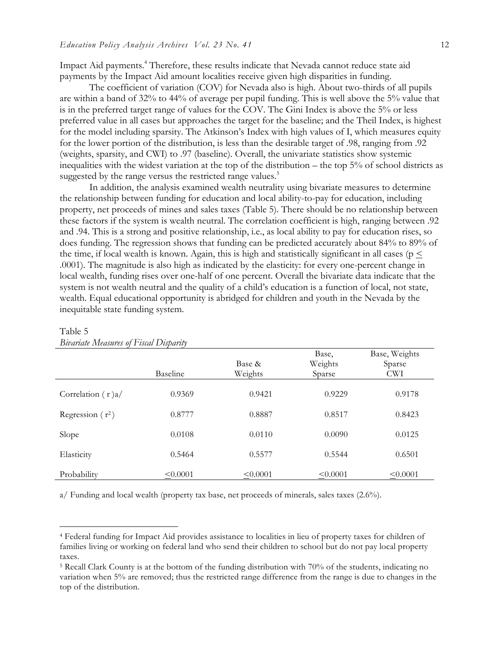Impact Aid payments.<sup>4</sup> Therefore, these results indicate that Nevada cannot reduce state aid payments by the Impact Aid amount localities receive given high disparities in funding.

The coefficient of variation (COV) for Nevada also is high. About two-thirds of all pupils are within a band of 32% to 44% of average per pupil funding. This is well above the 5% value that is in the preferred target range of values for the COV. The Gini Index is above the 5% or less preferred value in all cases but approaches the target for the baseline; and the Theil Index, is highest for the model including sparsity. The Atkinson's Index with high values of I, which measures equity for the lower portion of the distribution, is less than the desirable target of .98, ranging from .92 (weights, sparsity, and CWI) to .97 (baseline). Overall, the univariate statistics show systemic inequalities with the widest variation at the top of the distribution – the top 5% of school districts as suggested by the range versus the restricted range values.<sup>5</sup>

In addition, the analysis examined wealth neutrality using bivariate measures to determine the relationship between funding for education and local ability-to-pay for education, including property, net proceeds of mines and sales taxes (Table 5). There should be no relationship between these factors if the system is wealth neutral. The correlation coefficient is high, ranging between .92 and .94. This is a strong and positive relationship, i.e., as local ability to pay for education rises, so does funding. The regression shows that funding can be predicted accurately about 84% to 89% of the time, if local wealth is known. Again, this is high and statistically significant in all cases ( $p <$ .0001). The magnitude is also high as indicated by the elasticity: for every one-percent change in local wealth, funding rises over one-half of one percent. Overall the bivariate data indicate that the system is not wealth neutral and the quality of a child's education is a function of local, not state, wealth. Equal educational opportunity is abridged for children and youth in the Nevada by the inequitable state funding system.

|                      | Baseline | Base &<br>Weights | Base,<br>Weights<br>Sparse | Base, Weights<br>Sparse<br><b>CWI</b> |
|----------------------|----------|-------------------|----------------------------|---------------------------------------|
| Correlation $(r)$ a/ | 0.9369   | 0.9421            | 0.9229                     | 0.9178                                |
| Regression $(r^2)$   | 0.8777   | 0.8887            | 0.8517                     | 0.8423                                |
| Slope                | 0.0108   | 0.0110            | 0.0090                     | 0.0125                                |
| Elasticity           | 0.5464   | 0.5577            | 0.5544                     | 0.6501                                |
| Probability          | < 0.0001 | < 0.0001          | < 0.0001                   | < 0.0001                              |

#### Table 5 *Bivariate Measures of Fiscal Disparity*

 $\overline{a}$ 

a/ Funding and local wealth (property tax base, net proceeds of minerals, sales taxes (2.6%).

<sup>4</sup> Federal funding for Impact Aid provides assistance to localities in lieu of property taxes for children of families living or working on federal land who send their children to school but do not pay local property taxes.

<sup>5</sup> Recall Clark County is at the bottom of the funding distribution with 70% of the students, indicating no variation when 5% are removed; thus the restricted range difference from the range is due to changes in the top of the distribution.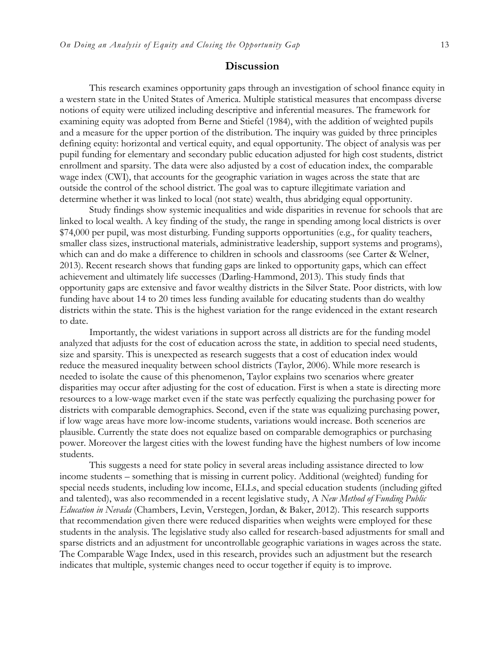## **Discussion**

This research examines opportunity gaps through an investigation of school finance equity in a western state in the United States of America. Multiple statistical measures that encompass diverse notions of equity were utilized including descriptive and inferential measures. The framework for examining equity was adopted from Berne and Stiefel (1984), with the addition of weighted pupils and a measure for the upper portion of the distribution. The inquiry was guided by three principles defining equity: horizontal and vertical equity, and equal opportunity. The object of analysis was per pupil funding for elementary and secondary public education adjusted for high cost students, district enrollment and sparsity. The data were also adjusted by a cost of education index, the comparable wage index (CWI), that accounts for the geographic variation in wages across the state that are outside the control of the school district. The goal was to capture illegitimate variation and determine whether it was linked to local (not state) wealth, thus abridging equal opportunity.

Study findings show systemic inequalities and wide disparities in revenue for schools that are linked to local wealth. A key finding of the study, the range in spending among local districts is over \$74,000 per pupil, was most disturbing. Funding supports opportunities (e.g., for quality teachers, smaller class sizes, instructional materials, administrative leadership, support systems and programs), which can and do make a difference to children in schools and classrooms (see Carter & Welner, 2013). Recent research shows that funding gaps are linked to opportunity gaps, which can effect achievement and ultimately life successes (Darling-Hammond, 2013). This study finds that opportunity gaps are extensive and favor wealthy districts in the Silver State. Poor districts, with low funding have about 14 to 20 times less funding available for educating students than do wealthy districts within the state. This is the highest variation for the range evidenced in the extant research to date.

Importantly, the widest variations in support across all districts are for the funding model analyzed that adjusts for the cost of education across the state, in addition to special need students, size and sparsity. This is unexpected as research suggests that a cost of education index would reduce the measured inequality between school districts (Taylor, 2006). While more research is needed to isolate the cause of this phenomenon, Taylor explains two scenarios where greater disparities may occur after adjusting for the cost of education. First is when a state is directing more resources to a low-wage market even if the state was perfectly equalizing the purchasing power for districts with comparable demographics. Second, even if the state was equalizing purchasing power, if low wage areas have more low-income students, variations would increase. Both scenerios are plausible. Currently the state does not equalize based on comparable demographics or purchasing power. Moreover the largest cities with the lowest funding have the highest numbers of low income students.

This suggests a need for state policy in several areas including assistance directed to low income students – something that is missing in current policy. Additional (weighted) funding for special needs students, including low income, ELLs, and special education students (including gifted and talented), was also recommended in a recent legislative study, A *New Method of Funding Public Education in Nevada* (Chambers, Levin, Verstegen, Jordan, & Baker, 2012). This research supports that recommendation given there were reduced disparities when weights were employed for these students in the analysis. The legislative study also called for research-based adjustments for small and sparse districts and an adjustment for uncontrollable geographic variations in wages across the state. The Comparable Wage Index, used in this research, provides such an adjustment but the research indicates that multiple, systemic changes need to occur together if equity is to improve.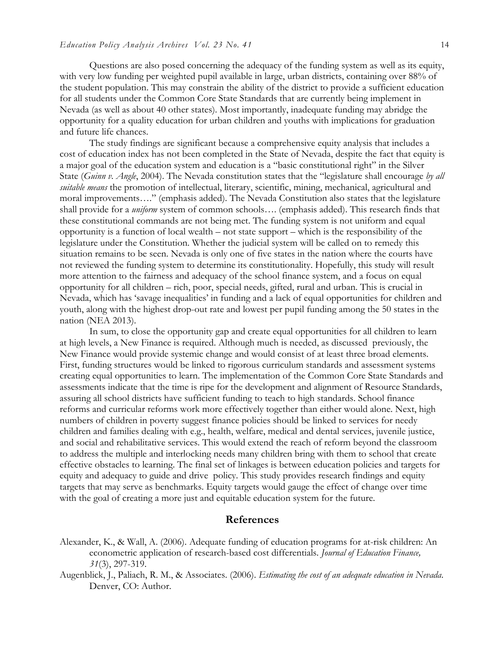Questions are also posed concerning the adequacy of the funding system as well as its equity, with very low funding per weighted pupil available in large, urban districts, containing over 88% of the student population. This may constrain the ability of the district to provide a sufficient education for all students under the Common Core State Standards that are currently being implement in Nevada (as well as about 40 other states). Most importantly, inadequate funding may abridge the opportunity for a quality education for urban children and youths with implications for graduation and future life chances.

The study findings are significant because a comprehensive equity analysis that includes a cost of education index has not been completed in the State of Nevada, despite the fact that equity is a major goal of the education system and education is a "basic constitutional right" in the Silver State (*Guinn v. Angle*, 2004). The Nevada constitution states that the "legislature shall encourage *by all suitable means* the promotion of intellectual, literary, scientific, mining, mechanical, agricultural and moral improvements…." (emphasis added). The Nevada Constitution also states that the legislature shall provide for a *uniform* system of common schools…. (emphasis added). This research finds that these constitutional commands are not being met. The funding system is not uniform and equal opportunity is a function of local wealth – not state support – which is the responsibility of the legislature under the Constitution. Whether the judicial system will be called on to remedy this situation remains to be seen. Nevada is only one of five states in the nation where the courts have not reviewed the funding system to determine its constitutionality. Hopefully, this study will result more attention to the fairness and adequacy of the school finance system, and a focus on equal opportunity for all children – rich, poor, special needs, gifted, rural and urban. This is crucial in Nevada, which has 'savage inequalities' in funding and a lack of equal opportunities for children and youth, along with the highest drop-out rate and lowest per pupil funding among the 50 states in the nation (NEA 2013).

In sum, to close the opportunity gap and create equal opportunities for all children to learn at high levels, a New Finance is required. Although much is needed, as discussed previously, the New Finance would provide systemic change and would consist of at least three broad elements. First, funding structures would be linked to rigorous curriculum standards and assessment systems creating equal opportunities to learn. The implementation of the Common Core State Standards and assessments indicate that the time is ripe for the development and alignment of Resource Standards, assuring all school districts have sufficient funding to teach to high standards. School finance reforms and curricular reforms work more effectively together than either would alone. Next, high numbers of children in poverty suggest finance policies should be linked to services for needy children and families dealing with e.g., health, welfare, medical and dental services, juvenile justice, and social and rehabilitative services. This would extend the reach of reform beyond the classroom to address the multiple and interlocking needs many children bring with them to school that create effective obstacles to learning. The final set of linkages is between education policies and targets for equity and adequacy to guide and drive policy. This study provides research findings and equity targets that may serve as benchmarks. Equity targets would gauge the effect of change over time with the goal of creating a more just and equitable education system for the future.

### **References**

- Alexander, K., & Wall, A. (2006). Adequate funding of education programs for at-risk children: An econometric application of research-based cost differentials. *Journal of Education Finance, 31*(3), 297-319.
- Augenblick, J., Paliach, R. M., & Associates. (2006). *Estimating the cost of an adequate education in Nevada*. Denver, CO: Author.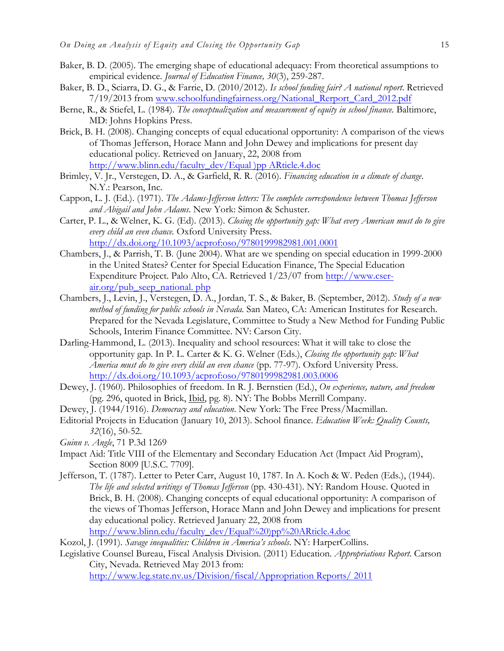- Baker, B. D. (2005). The emerging shape of educational adequacy: From theoretical assumptions to empirical evidence. *Journal of Education Finance, 30*(3), 259-287.
- Baker, B. D., Sciarra, D. G., & Farrie, D. (2010/2012). *Is school funding fair? A national report*. Retrieved 7/19/2013 from www.schoolfundingfairness.org/National\_Rerport\_Card\_2012.pdf
- Berne, R., & Stiefel, L. (1984). *The conceptualization and measurement of equity in school finance.* Baltimore, MD: Johns Hopkins Press.
- Brick, B. H. (2008). Changing concepts of equal educational opportunity: A comparison of the views of Thomas Jefferson, Horace Mann and John Dewey and implications for present day educational policy. Retrieved on January, 22, 2008 from http://www.blinn.edu/faculty\_dev/Equal )pp ARticle.4.doc
- Brimley, V. Jr., Verstegen, D. A., & Garfield, R. R. (2016). *Financing education in a climate of change*. N.Y.: Pearson, Inc.
- Cappon, L. J. (Ed.). (1971). *The Adams-Jefferson letters: The complete correspondence between Thomas Jefferson and Abigail and John Adams*. New York: Simon & Schuster.
- Carter, P. L., & Welner, K. G. (Ed). (2013). *Closing the opportunity gap: What every American must do to give every child an even chance.* Oxford University Press. http://dx.doi.org/10.1093/acprof:oso/9780199982981.001.0001
- Chambers, J., & Parrish, T. B. (June 2004). What are we spending on special education in 1999-2000 in the United States? Center for Special Education Finance, The Special Education Expenditure Project. Palo Alto, CA. Retrieved 1/23/07 from http://www.cserair.org/pub\_seep\_national. php
- Chambers, J., Levin, J., Verstegen, D. A., Jordan, T. S., & Baker, B. (September, 2012). *Study of a new method of funding for public schools in Nevada.* San Mateo, CA: American Institutes for Research. Prepared for the Nevada Legislature, Committee to Study a New Method for Funding Public Schools, Interim Finance Committee. NV: Carson City.
- Darling-Hammond, L. (2013). Inequality and school resources: What it will take to close the opportunity gap. In P. L. Carter & K. G. Welner (Eds.), *Closing the opportunity gap: What America must do to give every child an even chance* (pp. 77-97). Oxford University Press. http://dx.doi.org/10.1093/acprof:oso/9780199982981.003.0006
- Dewey, J. (1960). Philosophies of freedom. In R. J. Bernstien (Ed.), *On experience, nature, and freedom* (pg. 296, quoted in Brick, Ibid, pg. 8). NY: The Bobbs Merrill Company.
- Dewey, J. (1944/1916). *Democracy and education*. New York: The Free Press/Macmillan.
- Editorial Projects in Education (January 10, 2013). School finance. *Education Week: Quality Counts, 32*(16), 50-52.
- *Guinn v. Angle*, 71 P.3d 1269
- Impact Aid: Title VIII of the Elementary and Secondary Education Act (Impact Aid Program), Section 8009 [U.S.C. 7709].
- Jefferson, T. (1787). Letter to Peter Carr, August 10, 1787. In A. Koch & W. Peden (Eds.), (1944). *The life and selected writings of Thomas Jefferson* (pp. 430-431). NY: Random House. Quoted in Brick, B. H. (2008). Changing concepts of equal educational opportunity: A comparison of the views of Thomas Jefferson, Horace Mann and John Dewey and implications for present day educational policy. Retrieved January 22, 2008 from http://www.blinn.edu/faculty\_dev/Equal%20)pp%20ARticle.4.doc

Kozol, J. (1991). *Savage inequalities: Children in America's schools*. NY: HarperCollins.

Legislative Counsel Bureau, Fiscal Analysis Division. (2011) Education*. Appropriations Report*. Carson City, Nevada. Retrieved May 2013 from:

http://www.leg.state.nv.us/Division/fiscal/Appropriation Reports/ 2011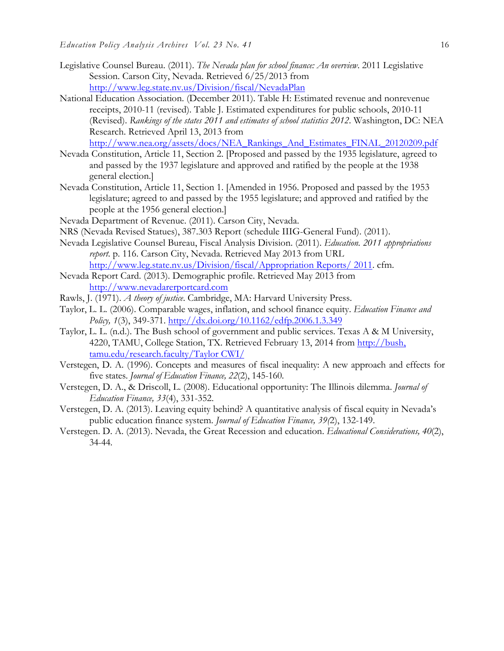- Legislative Counsel Bureau. (2011). *The Nevada plan for school finance: An overview*. 2011 Legislative Session. Carson City, Nevada. Retrieved 6/25/2013 from http://www.leg.state.nv.us/Division/fiscal/NevadaPlan
- National Education Association. (December 2011). Table H: Estimated revenue and nonrevenue receipts, 2010-11 (revised). Table J. Estimated expenditures for public schools, 2010-11 (Revised). *Rankings of the states 2011 and estimates of school statistics 2012*. Washington, DC: NEA Research. Retrieved April 13, 2013 from

http://www.nea.org/assets/docs/NEA\_Rankings\_And\_Estimates\_FINAL\_20120209.pdf

- Nevada Constitution, Article 11, Section 2. [Proposed and passed by the 1935 legislature, agreed to and passed by the 1937 legislature and approved and ratified by the people at the 1938 general election.]
- Nevada Constitution, Article 11, Section 1. [Amended in 1956. Proposed and passed by the 1953 legislature; agreed to and passed by the 1955 legislature; and approved and ratified by the people at the 1956 general election.]
- Nevada Department of Revenue. (2011). Carson City, Nevada.
- NRS (Nevada Revised Statues), 387.303 Report (schedule IIIG-General Fund). (2011).
- Nevada Legislative Counsel Bureau, Fiscal Analysis Division. (2011). *Education. 2011 appropriations report*. p. 116. Carson City, Nevada. Retrieved May 2013 from URL http://www.leg.state.nv.us/Division/fiscal/Appropriation Reports/ 2011. cfm.
- Nevada Report Card. (2013). Demographic profile. Retrieved May 2013 from http://www.nevadarerportcard.com
- Rawls, J. (1971). *A theory of justice*. Cambridge, MA: Harvard University Press.
- Taylor, L. L. (2006). Comparable wages, inflation, and school finance equity. *Education Finance and Policy, 1*(3), 349-371. http://dx.doi.org/10.1162/edfp.2006.1.3.349
- Taylor, L. L. (n.d.). The Bush school of government and public services. Texas A & M University, 4220, TAMU, College Station, TX. Retrieved February 13, 2014 from http://bush, tamu.edu/research.faculty/Taylor CWI/
- Verstegen, D. A. (1996). Concepts and measures of fiscal inequality: A new approach and effects for five states. *Journal of Education Finance, 22*(2), 145-160.
- Verstegen, D. A., & Driscoll, L. (2008). Educational opportunity: The Illinois dilemma. *Journal of Education Finance, 33*(4), 331-352.
- Verstegen, D. A. (2013). Leaving equity behind? A quantitative analysis of fiscal equity in Nevada's public education finance system. *Journal of Education Finance, 39(*2), 132-149.
- Verstegen. D. A. (2013). Nevada, the Great Recession and education. *Educational Considerations, 40*(2), 34-44.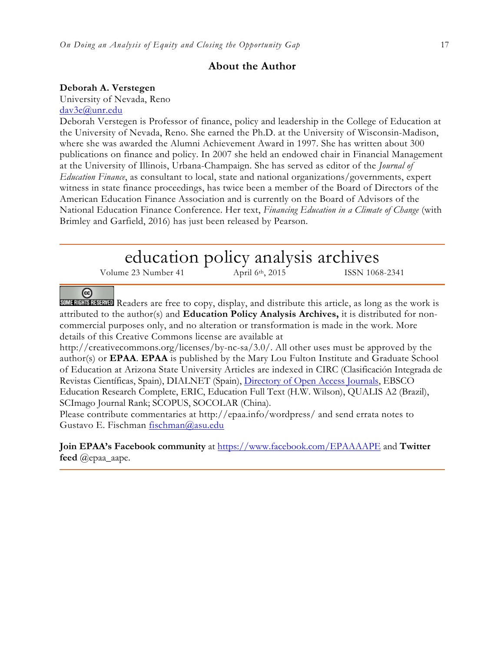## **About the Author**

#### **Deborah A. Verstegen**

University of Nevada, Reno dav3e@unr.edu

Deborah Verstegen is Professor of finance, policy and leadership in the College of Education at the University of Nevada, Reno. She earned the Ph.D. at the University of Wisconsin-Madison, where she was awarded the Alumni Achievement Award in 1997. She has written about 300 publications on finance and policy. In 2007 she held an endowed chair in Financial Management at the University of Illinois, Urbana-Champaign. She has served as editor of the *Journal of Education Finance*, as consultant to local, state and national organizations/governments, expert witness in state finance proceedings, has twice been a member of the Board of Directors of the American Education Finance Association and is currently on the Board of Advisors of the National Education Finance Conference. Her text, *Financing Education in a Climate of Change* (with Brimley and Garfield, 2016) has just been released by Pearson.

# education policy analysis archives

Volume 23 Number 41 April 6<sup>th</sup>, 2015 ISSN 1068-2341

ര

**SOME RIGHTS RESERVED** Readers are free to copy, display, and distribute this article, as long as the work is attributed to the author(s) and **Education Policy Analysis Archives,** it is distributed for noncommercial purposes only, and no alteration or transformation is made in the work. More details of this Creative Commons license are available at

http://creativecommons.org/licenses/by-nc-sa/3.0/. All other uses must be approved by the author(s) or **EPAA**. **EPAA** is published by the Mary Lou Fulton Institute and Graduate School of Education at Arizona State University Articles are indexed in CIRC (Clasificación Integrada de Revistas Científicas, Spain), DIALNET (Spain), Directory of Open Access Journals, EBSCO Education Research Complete, ERIC, Education Full Text (H.W. Wilson), QUALIS A2 (Brazil), SCImago Journal Rank; SCOPUS, SOCOLAR (China).

Please contribute commentaries at http://epaa.info/wordpress/ and send errata notes to Gustavo E. Fischman fischman@asu.edu

**Join EPAA's Facebook community** at https://www.facebook.com/EPAAAAPE and **Twitter**  feed *@epaa* aape.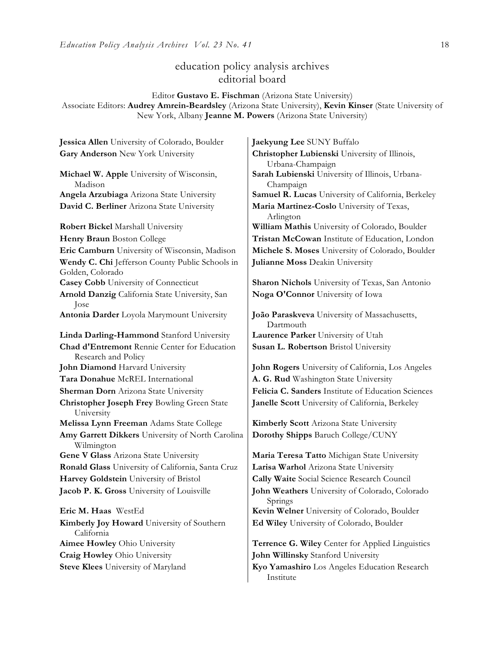## education policy analysis archives editorial board

### Editor **Gustavo E. Fischman** (Arizona State University)

Associate Editors: **Audrey Amrein-Beardsley** (Arizona State University), **Kevin Kinser** (State University of New York, Albany **Jeanne M. Powers** (Arizona State University)

| Jessica Allen University of Colorado, Boulder                       | <b>Jaekyung Lee SUNY Buffalo</b>                          |
|---------------------------------------------------------------------|-----------------------------------------------------------|
| Gary Anderson New York University                                   | Christopher Lubienski University of Illinois,             |
|                                                                     | Urbana-Champaign                                          |
| Michael W. Apple University of Wisconsin,                           | Sarah Lubienski University of Illinois, Urbana-           |
| Madison                                                             | Champaign                                                 |
| Angela Arzubiaga Arizona State University                           | Samuel R. Lucas University of California, Berkeley        |
| David C. Berliner Arizona State University                          | Maria Martinez-Coslo University of Texas,<br>Arlington    |
| <b>Robert Bickel</b> Marshall University                            | William Mathis University of Colorado, Boulder            |
| Henry Braun Boston College                                          | Tristan McCowan Institute of Education, London            |
| Eric Camburn University of Wisconsin, Madison                       | Michele S. Moses University of Colorado, Boulder          |
| Wendy C. Chi Jefferson County Public Schools in<br>Golden, Colorado | Julianne Moss Deakin University                           |
| Casey Cobb University of Connecticut                                | <b>Sharon Nichols</b> University of Texas, San Antonio    |
| Arnold Danzig California State University, San                      | Noga O'Connor University of Iowa                          |
| Jose                                                                |                                                           |
| Antonia Darder Loyola Marymount University                          | João Paraskveva University of Massachusetts,<br>Dartmouth |
| Linda Darling-Hammond Stanford University                           | Laurence Parker University of Utah                        |
| Chad d'Entremont Rennie Center for Education<br>Research and Policy | Susan L. Robertson Bristol University                     |
| <b>John Diamond</b> Harvard University                              | John Rogers University of California, Los Angeles         |
| Tara Donahue McREL International                                    | A. G. Rud Washington State University                     |
| Sherman Dorn Arizona State University                               | Felicia C. Sanders Institute of Education Sciences        |
| <b>Christopher Joseph Frey Bowling Green State</b><br>University    | Janelle Scott University of California, Berkeley          |
| Melissa Lynn Freeman Adams State College                            | Kimberly Scott Arizona State University                   |
| Amy Garrett Dikkers University of North Carolina<br>Wilmington      | Dorothy Shipps Baruch College/CUNY                        |
| Gene V Glass Arizona State University                               | Maria Teresa Tatto Michigan State University              |
| Ronald Glass University of California, Santa Cruz                   | Larisa Warhol Arizona State University                    |
| Harvey Goldstein University of Bristol                              | Cally Waite Social Science Research Council               |
| Jacob P. K. Gross University of Louisville                          | John Weathers University of Colorado, Colorado<br>Springs |
| Eric M. Haas WestEd                                                 | Kevin Welner University of Colorado, Boulder              |
| Kimberly Joy Howard University of Southern<br>California            | Ed Wiley University of Colorado, Boulder                  |
| Aimee Howley Ohio University                                        | Terrence G. Wiley Center for Applied Linguistics          |
| <b>Craig Howley Ohio University</b>                                 | John Willinsky Stanford University                        |
| Steve Klees University of Maryland                                  | Kyo Yamashiro Los Angeles Education Research<br>Institute |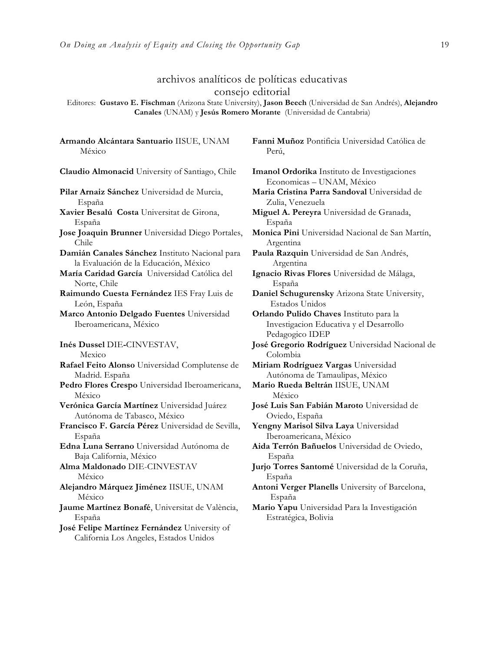archivos analíticos de políticas educativas consejo editorial

Editores: **Gustavo E. Fischman** (Arizona State University), **Jason Beech** (Universidad de San Andrés), **Alejandro Canales** (UNAM) y **Jesús Romero Morante** (Universidad de Cantabria)

**Armando Alcántara Santuario** IISUE, UNAM México

**Claudio Almonacid** University of Santiago, Chile **Imanol Ordorika** Instituto de Investigaciones **Pilar Arnaiz Sánchez** Universidad de Murcia, España **Xavier Besalú Costa** Universitat de Girona, España **Jose Joaquin Brunner** Universidad Diego Portales, Chile **Damián Canales Sánchez** Instituto Nacional para la Evaluación de la Educación, México **María Caridad García** Universidad Católica del Norte, Chile **Raimundo Cuesta Fernández** IES Fray Luis de León, España **Marco Antonio Delgado Fuentes** Universidad Iberoamericana, México **Inés Dussel** DIE**-**CINVESTAV, Mexico **Rafael Feito Alonso** Universidad Complutense de Madrid. España **Pedro Flores Crespo** Universidad Iberoamericana, México **Verónica García Martínez** Universidad Juárez Autónoma de Tabasco, México **Francisco F. García Pérez** Universidad de Sevilla, España **Edna Luna Serrano** Universidad Autónoma de Baja California, México **Alma Maldonado** DIE-CINVESTAV México **Alejandro Márquez Jiménez** IISUE, UNAM México **Jaume Martínez Bonafé**, Universitat de València, España **José Felipe Martínez Fernández** University of California Los Angeles, Estados Unidos

**Fanni Muñoz** Pontificia Universidad Católica de Perú, Economicas – UNAM, México

**Maria Cristina Parra Sandoval** Universidad de Zulia, Venezuela

**Miguel A. Pereyra** Universidad de Granada, España

**Monica Pini** Universidad Nacional de San Martín, Argentina

**Paula Razquin** Universidad de San Andrés, Argentina

**Ignacio Rivas Flores** Universidad de Málaga, España

**Daniel Schugurensky** Arizona State University, Estados Unidos

**Orlando Pulido Chaves** Instituto para la Investigacion Educativa y el Desarrollo Pedagogico IDEP

**José Gregorio Rodríguez** Universidad Nacional de Colombia

**Miriam Rodríguez Vargas** Universidad Autónoma de Tamaulipas, México

**Mario Rueda Beltrán** IISUE, UNAM México

**José Luis San Fabián Maroto** Universidad de Oviedo, España

**Yengny Marisol Silva Laya** Universidad Iberoamericana, México

**Aida Terrón Bañuelos** Universidad de Oviedo, España

**Jurjo Torres Santomé** Universidad de la Coruña, España

**Antoni Verger Planells** University of Barcelona, España

**Mario Yapu** Universidad Para la Investigación Estratégica, Bolivia